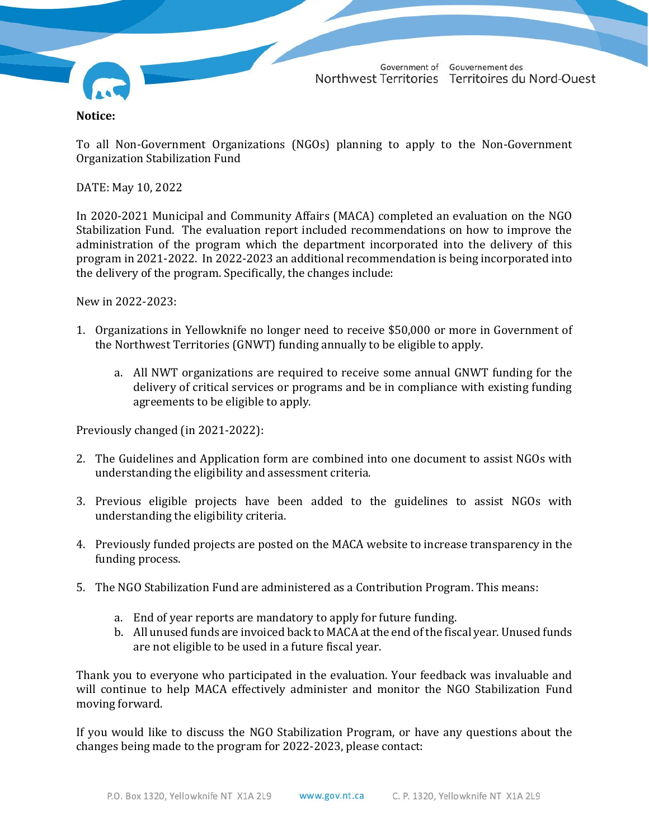

Government of Gouvernement des Northwest Territories Territoires du Nord-Ouest

## **Notice:**

To all Non-Government Organizations (NGOs) planning to apply to the Non-Government Organization Stabilization Fund

DATE: May 10, 2022

In 2020-2021 Municipal and Community Affairs (MACA) completed an evaluation on the NGO Stabilization Fund. The evaluation report included recommendations on how to improve the administration of the program which the department incorporated into the delivery of this program in 2021-2022. In 2022-2023 an additional recommendation is being incorporated into the delivery of the program. Specifically, the changes include:

New in 2022-2023:

- 1. Organizations in Yellowknife no longer need to receive \$50,000 or more in Government of the Northwest Territories (GNWT) funding annually to be eligible to apply.
	- a. All NWT organizations are required to receive some annual GNWT funding for the delivery of critical services or programs and be in compliance with existing funding agreements to be eligible to apply.

Previously changed (in 2021-2022):

- 2. The Guidelines and Application form are combined into one document to assist NGOs with understanding the eligibility and assessment criteria.
- 3. Previous eligible projects have been added to the guidelines to assist NGOs with understanding the eligibility criteria.
- 4. Previously funded projects are posted on the MACA website to increase transparency in the funding process.
- 5. The NGO Stabilization Fund are administered as a Contribution Program. This means:
	- a. End of year reports are mandatory to apply for future funding.
	- b. All unused funds are invoiced back to MACA at the end of the fiscal year. Unused funds are not eligible to be used in a future fiscal year.

Thank you to everyone who participated in the evaluation. Your feedback was invaluable and will continue to help MACA effectively administer and monitor the NGO Stabilization Fund moving forward.

If you would like to discuss the NGO Stabilization Program, or have any questions about the changes being made to the program for 2022-2023, please contact: